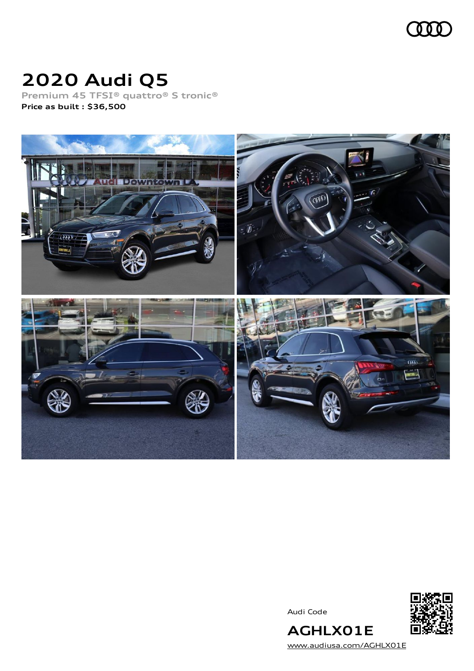

# **2020 Audi Q5**

**Premium 45 TFSI® quattro® S tronic® Price as built [:](#page-8-0) \$36,500**



Audi Code



**AGHLX01E** [www.audiusa.com/AGHLX01E](https://www.audiusa.com/AGHLX01E)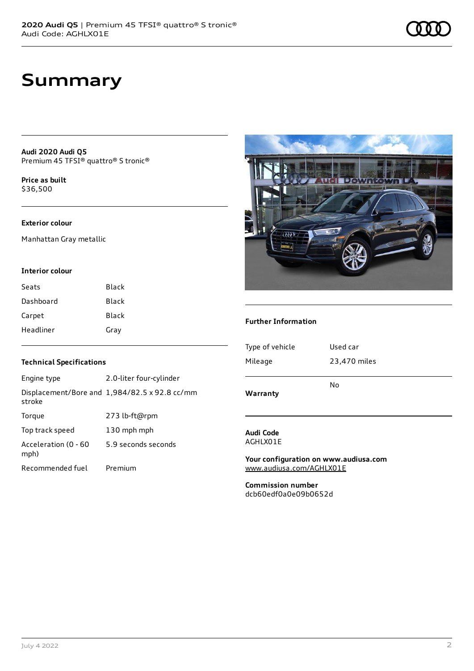# **Summary**

**Audi 2020 Audi Q5** Premium 45 TFSI® quattro® S tronic®

**Price as buil[t](#page-8-0)** \$36,500

## **Exterior colour**

Manhattan Gray metallic

#### **Interior colour**

| Seats     | Black        |
|-----------|--------------|
| Dashboard | Black        |
| Carpet    | <b>Black</b> |
| Headliner | Gray         |

### **Technical Specifications**

| Engine type                  | 2.0-liter four-cylinder                       |
|------------------------------|-----------------------------------------------|
| stroke                       | Displacement/Bore and 1,984/82.5 x 92.8 cc/mm |
| Torque                       | 273 lb-ft@rpm                                 |
| Top track speed              | 130 mph mph                                   |
| Acceleration (0 - 60<br>mph) | 5.9 seconds seconds                           |
| Recommended fuel             | Premium                                       |



### **Further Information**

| Warranty        | No           |
|-----------------|--------------|
| Mileage         | 23,470 miles |
| Type of vehicle | Used car     |
|                 |              |

#### **Audi Code** AGHLX01E

**Your configuration on www.audiusa.com** [www.audiusa.com/AGHLX01E](https://www.audiusa.com/AGHLX01E)

**Commission number** dcb60edf0a0e09b0652d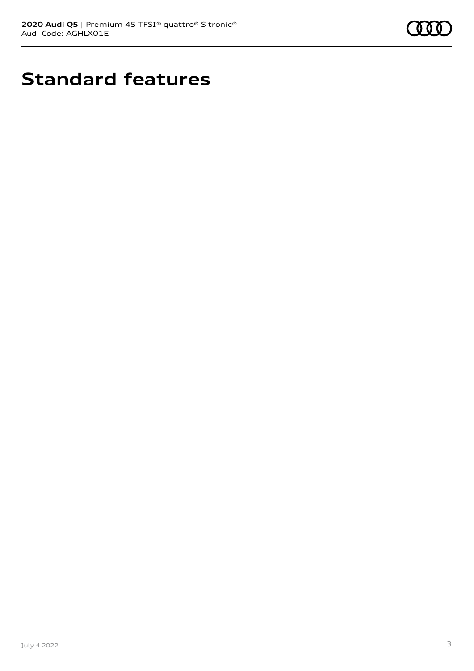

# **Standard features**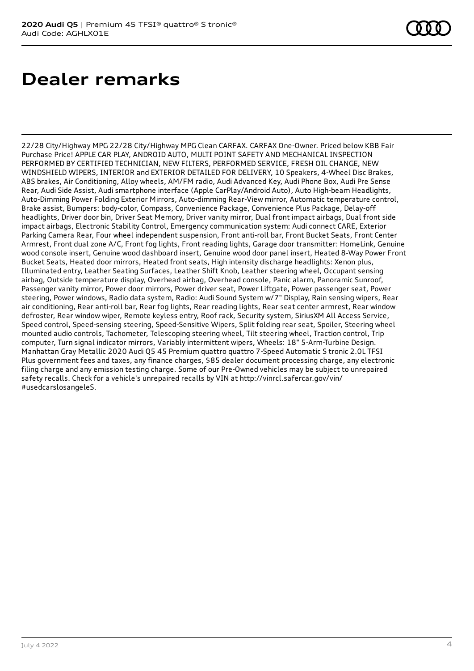# **Dealer remarks**

22/28 City/Highway MPG 22/28 City/Highway MPG Clean CARFAX. CARFAX One-Owner. Priced below KBB Fair Purchase Price! APPLE CAR PLAY, ANDROID AUTO, MULTI POINT SAFETY AND MECHANICAL INSPECTION PERFORMED BY CERTIFIED TECHNICIAN, NEW FILTERS, PERFORMED SERVICE, FRESH OIL CHANGE, NEW WINDSHIELD WIPERS, INTERIOR and EXTERIOR DETAILED FOR DELIVERY, 10 Speakers, 4-Wheel Disc Brakes, ABS brakes, Air Conditioning, Alloy wheels, AM/FM radio, Audi Advanced Key, Audi Phone Box, Audi Pre Sense Rear, Audi Side Assist, Audi smartphone interface (Apple CarPlay/Android Auto), Auto High-beam Headlights, Auto-Dimming Power Folding Exterior Mirrors, Auto-dimming Rear-View mirror, Automatic temperature control, Brake assist, Bumpers: body-color, Compass, Convenience Package, Convenience Plus Package, Delay-off headlights, Driver door bin, Driver Seat Memory, Driver vanity mirror, Dual front impact airbags, Dual front side impact airbags, Electronic Stability Control, Emergency communication system: Audi connect CARE, Exterior Parking Camera Rear, Four wheel independent suspension, Front anti-roll bar, Front Bucket Seats, Front Center Armrest, Front dual zone A/C, Front fog lights, Front reading lights, Garage door transmitter: HomeLink, Genuine wood console insert, Genuine wood dashboard insert, Genuine wood door panel insert, Heated 8-Way Power Front Bucket Seats, Heated door mirrors, Heated front seats, High intensity discharge headlights: Xenon plus, Illuminated entry, Leather Seating Surfaces, Leather Shift Knob, Leather steering wheel, Occupant sensing airbag, Outside temperature display, Overhead airbag, Overhead console, Panic alarm, Panoramic Sunroof, Passenger vanity mirror, Power door mirrors, Power driver seat, Power Liftgate, Power passenger seat, Power steering, Power windows, Radio data system, Radio: Audi Sound System w/7" Display, Rain sensing wipers, Rear air conditioning, Rear anti-roll bar, Rear fog lights, Rear reading lights, Rear seat center armrest, Rear window defroster, Rear window wiper, Remote keyless entry, Roof rack, Security system, SiriusXM All Access Service, Speed control, Speed-sensing steering, Speed-Sensitive Wipers, Split folding rear seat, Spoiler, Steering wheel mounted audio controls, Tachometer, Telescoping steering wheel, Tilt steering wheel, Traction control, Trip computer, Turn signal indicator mirrors, Variably intermittent wipers, Wheels: 18" 5-Arm-Turbine Design. Manhattan Gray Metallic 2020 Audi Q5 45 Premium quattro quattro 7-Speed Automatic S tronic 2.0L TFSI Plus government fees and taxes, any finance charges, \$85 dealer document processing charge, any electronic filing charge and any emission testing charge. Some of our Pre-Owned vehicles may be subject to unrepaired safety recalls. Check for a vehicle's unrepaired recalls by VIN at http://vinrcl.safercar.gov/vin/ #usedcarslosangeleS.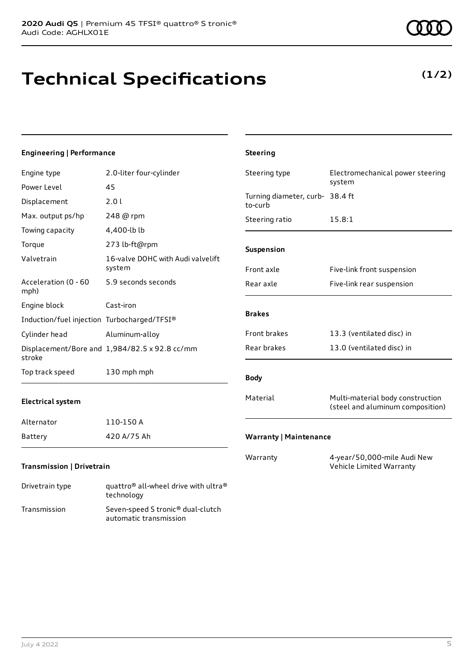Transmission Seven-speed S tronic® dual-clutch

automatic transmission

# **Technical Specifications**

## **Engineering | Performance**

| Engine type                                 | 2.0-liter four-cylinder                            | Steering type                              | Electromechanical power steering                                     |
|---------------------------------------------|----------------------------------------------------|--------------------------------------------|----------------------------------------------------------------------|
| Power Level                                 | 45                                                 |                                            | system                                                               |
| Displacement                                | 2.0 l                                              | Turning diameter, curb- 38.4 ft<br>to-curb |                                                                      |
| Max. output ps/hp                           | 248 @ rpm                                          | Steering ratio                             | 15.8:1                                                               |
| Towing capacity                             | 4,400-lb lb                                        |                                            |                                                                      |
| Torque                                      | 273 lb-ft@rpm                                      | Suspension                                 |                                                                      |
| Valvetrain                                  | 16-valve DOHC with Audi valvelift<br>system        | Front axle                                 | Five-link front suspension                                           |
| Acceleration (0 - 60<br>mph)                | 5.9 seconds seconds                                | Rear axle                                  | Five-link rear suspension                                            |
| Engine block                                | Cast-iron                                          |                                            |                                                                      |
| Induction/fuel injection Turbocharged/TFSI® |                                                    | <b>Brakes</b>                              |                                                                      |
| Cylinder head                               | Aluminum-alloy                                     | Front brakes                               | 13.3 (ventilated disc) in                                            |
| stroke                                      | Displacement/Bore and 1,984/82.5 x 92.8 cc/mm      | Rear brakes                                | 13.0 (ventilated disc) in                                            |
| Top track speed                             | 130 mph mph                                        | <b>Body</b>                                |                                                                      |
| <b>Electrical system</b>                    |                                                    | Material                                   | Multi-material body construction<br>(steel and aluminum composition) |
| Alternator                                  | 110-150 A                                          |                                            |                                                                      |
| <b>Battery</b>                              | 420 A/75 Ah                                        | <b>Warranty   Maintenance</b>              |                                                                      |
| Transmission   Drivetrain                   |                                                    | Warranty                                   | 4-year/50,000-mile Audi New<br>Vehicle Limited Warranty              |
| Drivetrain type                             | quattro® all-wheel drive with ultra®<br>technology |                                            |                                                                      |

**Steering**

## **(1/2)**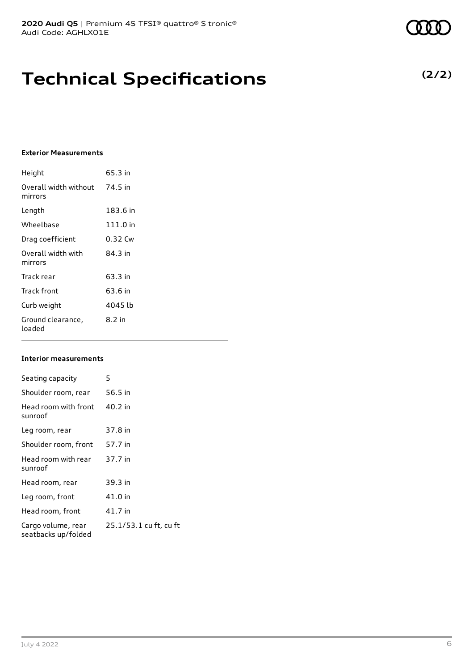# **Technical Specifications**

## **Exterior Measurements**

| Height                           | 65.3 in    |
|----------------------------------|------------|
| Overall width without<br>mirrors | 74.5 in    |
| Length                           | 183.6 in   |
| Wheelbase                        | $111.0$ in |
| Drag coefficient                 | 0.32 Cw    |
| Overall width with<br>mirrors    | 84 3 in    |
| Track rear                       | 63.3 in    |
| Track front                      | 63.6 in    |
| Curb weight                      | 4045 lb    |
| Ground clearance,<br>loaded      | 8.2 in     |

### **Interior measurements**

| Seating capacity                          | 5                      |
|-------------------------------------------|------------------------|
| Shoulder room, rear                       | 56.5 in                |
| Head room with front<br>sunroof           | 40.2 in                |
| Leg room, rear                            | 37.8 in                |
| Shoulder room, front                      | 57.7 in                |
| Head room with rear<br>sunroof            | 37.7 in                |
| Head room, rear                           | 39.3 in                |
| Leg room, front                           | 41.0 in                |
| Head room, front                          | 41.7 in                |
| Cargo volume, rear<br>seatbacks up/folded | 25.1/53.1 cu ft, cu ft |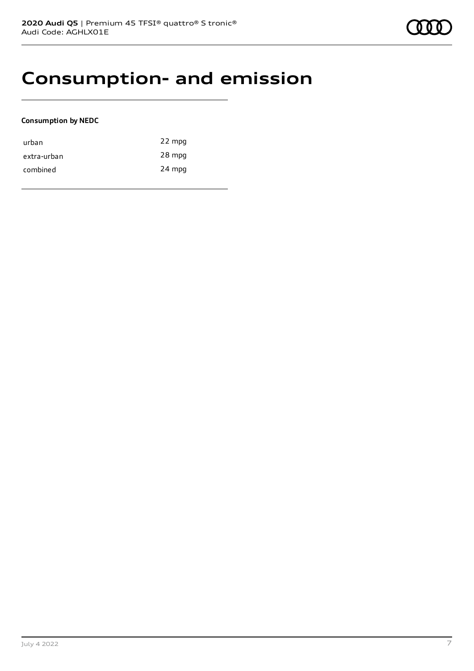## **Consumption- and emission**

### **Consumption by NEDC**

| urban       | 22 mpg |
|-------------|--------|
| extra-urban | 28 mpg |
| combined    | 24 mpg |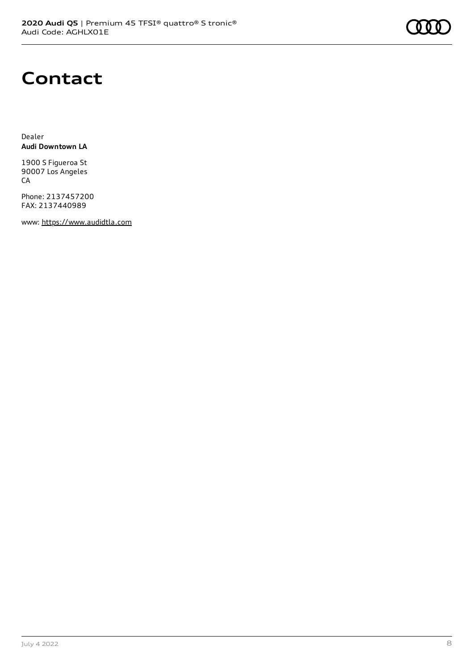

## **Contact**

Dealer **Audi Downtown LA**

1900 S Figueroa St 90007 Los Angeles **CA** 

Phone: 2137457200 FAX: 2137440989

www: [https://www.audidtla.com](https://www.audidtla.com/)